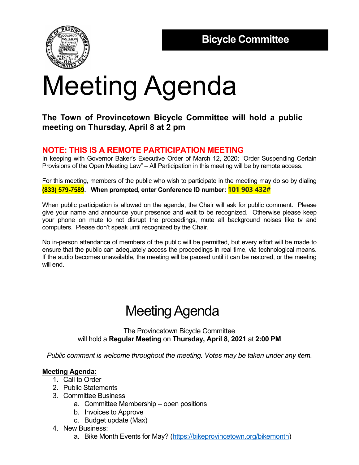

# Meeting Agenda

### **The Town of Provincetown Bicycle Committee will hold a public meeting on Thursday, April 8 at 2 pm**

### **NOTE: THIS IS A REMOTE PARTICIPATION MEETING**

In keeping with Governor Baker's Executive Order of March 12, 2020; "Order Suspending Certain Provisions of the Open Meeting Law" – All Participation in this meeting will be by remote access.

For this meeting, members of the public who wish to participate in the meeting may do so by dialing **(833) 579-7589. When prompted, enter Conference ID number: 101 903 432#**

When public participation is allowed on the agenda, the Chair will ask for public comment. Please give your name and announce your presence and wait to be recognized. Otherwise please keep your phone on mute to not disrupt the proceedings, mute all background noises like tv and computers. Please don't speak until recognized by the Chair.

No in-person attendance of members of the public will be permitted, but every effort will be made to ensure that the public can adequately access the proceedings in real time, via technological means. If the audio becomes unavailable, the meeting will be paused until it can be restored, or the meeting will end.

## Meeting Agenda

The Provincetown Bicycle Committee will hold a **Regular Meeting** on **Thursday, April 8**, **2021** at **2:00 PM**

*Public comment is welcome throughout the meeting. Votes may be taken under any item.* 

#### **Meeting Agenda:**

- 1. Call to Order
- 2. Public Statements
- 3. Committee Business
	- a. Committee Membership open positions
	- b. Invoices to Approve
	- c. Budget update (Max)
- 4. New Business:
	- a. Bike Month Events for May? (https://bikeprovincetown.org/bikemonth)